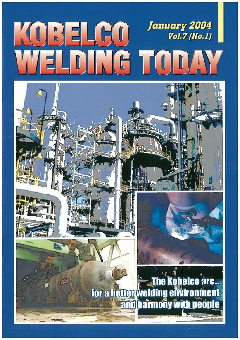# January 2004 KOBELGO  $Vol.7(No.1)$ WELDING TODAY



**Kobelco arc...** for a betterwelding environment and harmony with people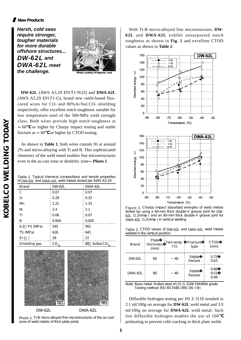#### **New Products**

**Harsh, cold seas require stronger, tougher materials for more durable offshore structures...** *DW-62L* **and**  *DWA-62L* **meet the challenge.** *Photo courtesy of Rig* 



**DW-62L** (AWS A5.29 E91T1-Ni2J) and **DWA-62L** (AWS A5.29 E91T1-G), brand new rutile-based fluxcored wires for  $CO<sub>2</sub>$  and  $80\%$  Ar/bal.CO<sub>2</sub> shielding respectively, offer excellent notch toughness suitable for low temperature steel of the 500-MPa yield strength class. Both wires provide high notch toughness at 60 or higher by Charpy impact testing and stable

fracture at 40 or higher by CTOD testing.

As shown in **Table 1**, both wires contain Ni at around 2% and micro-alloying with Ti and B. This sophisticated chemistry of the weld metal enables fine microstructures even in the as-cast zone or dendritic zone **Photo 1**.

|  | Table 1. Typical chemical compositions and tensile properties |  |  |
|--|---------------------------------------------------------------|--|--|
|  | of DW-62L and DWA-62L weld metals tested per AWS A5.29        |  |  |

| <b>Brand</b>  | DW-62L          | <b>DWA-62L</b>                        |                       |
|---------------|-----------------|---------------------------------------|-----------------------|
| C             | 0.07            | 0.07                                  |                       |
| Si            | 0.29            | 0.32                                  |                       |
| M             | 1.21            | 1.33                                  |                       |
| Ni            | 2.4             | 2.1                                   | Figure 1<br>tested by |
| Ti            | 0.06            | 0.07                                  | 62(1.2r)              |
| в             | 0.004           | 0.005                                 | <b>DWA-62L</b>        |
| 0.2 PS (MPa)  | 545             | 561                                   |                       |
| TS (MPa)      | 626             | 641                                   | Table 2<br>welded in  |
| EI( )         | 29              | 27                                    |                       |
| Shielding gas | CO <sub>2</sub> | $Ar$ <i>bal.CO</i> <sup>2</sup><br>80 | Brand                 |



Photo 1. Ti-B micro-alloyed fine microstructures of the as-cast zone of weld metals of thick plate joints

With Ti-B micro-alloyed fine microstructure, **DW-62L** and **DWA-62L** exhibit unsurpassed notch toughness as shown in **Fig. 1** and excellent CTOD values as shown in **Table 2**.



Figure 1. Charpy impact absorbed energies of weld metals tested by using a 60-mm thick double-V groove joint for DW-62L (1.2mm) and an 80-mm thick double-V groove joint for DWA-62L (1.2mm) in vertical welding

| Table 2 CTOD values of DW-62L and DWA-62L weld metals |  |
|-------------------------------------------------------|--|
| welded in the vertical position                       |  |

| <b>Brand</b>   | Plate<br>thickness<br>(mm) | Test temp.<br>Fracture<br>type |                           | CTOD<br>(mm)         |
|----------------|----------------------------|--------------------------------|---------------------------|----------------------|
| DW-62L         | 60                         | 40                             | <b>Stable</b><br>fracture | 0.72<br>0.63         |
| <b>DWA-62L</b> | 80                         | 40                             | <b>Stable</b><br>fracture | 0.66<br>0.51<br>0.49 |

Note: Base metal: Rolled steel of JIS G 3106 SM490A grade Testing method: BSI BS7448-1991  $(W = B)$ 

Diffusible hydrogen testing per JIS Z 3118 resulted in 2.1 ml/100g on average for **DW-62L** weld metal and 3.9 ml/100g on average for **DWA-62L** weld metal. Such low diffusible hydrogen enables the use of 100 preheating to prevent cold cracking in thick plate welds.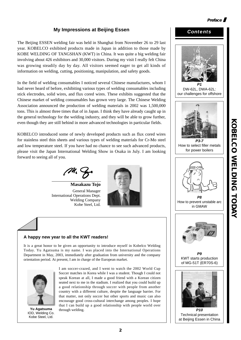# **My Impressions at Beijing Essen**

The Beijing ESSEN welding fair was held in Shanghai from November 26 to 29 last year. KOBELCO exhibited products made in Japan in addition to those made by KOBE WELDING OF TANGSHAN (KWT) in China. It was quite a big welding fair involving about 426 exhibitors and 30,000 visitors. During my visit I really felt China was growing steadily day by day. All visitors seemed eager to get all kinds of information on welding, cutting, positioning, manipulation, and safety goods.

In the field of welding consumables I noticed several Chinese manufactures, whom I had never heard of before, exhibiting various types of welding consumables including stick electrodes, solid wires, and flux cored wires. These exhibits suggested that the Chinese market of welding consumables has grown very large. The Chinese Welding Association announced the production of welding materials in 2002 was 1,500,000 tons. This is almost three times that of in Japan. I think they have already caught up in the general technology for the welding industry, and they will be able to grow further, even though they are still behind in more advanced technologies in particular fields.

KOBELCO introduced some of newly developed products such as flux cored wires for stainless steel thin sheets and various types of welding materials for Cr-Mo steel and low temperature steel. If you have had no chance to see such advanced products, please visit the Japan International Welding Show in Osaka in July. I am looking forward to seeing all of you.

**Masakazu Tojo** General Manager International Operations Dept. Welding Company Kobe Steel, Ltd.



#### **A happy new year to all the KWT readers!**

It is a great honor to be given an opportunity to introduce myself in Kobelco Welding Today. Yu Agatsuma is my name. I was placed into the International Operations Department in May, 2003, immediately after graduation from university and the company orientation period. At present, I am in charge of the European market.



**Yu Agatsuma** through welding. IOD, Welding Co. Kobe Steel, Ltd.

I am soccer-crazed, and I went to watch the 2002 World Cup Soccer matches in Korea while I was a student. Though I could not speak Korean at all, I made a good friend with a Korean citizen seated next to me in the stadium. I realized that you could build up a good relationship through soccer with people from another country with a different culture, despite the language barrier. For that matter, not only soccer but other sports and music can also encourage good cross-cultural interchange among peoples. I hope that I can build up a good relationship with people world over



at Beijing Essen in China

**Preface**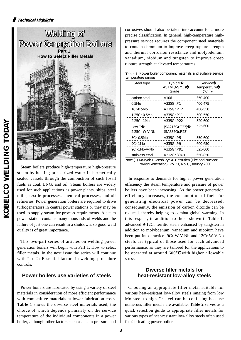

Steam boilers produce high-temperature high-pressure steam by heating pressurized water in hermetically sealed vessels through the combustion of such fossil fuels as coal, LNG, and oil. Steam boilers are widely used for such applications as power plants, ships, steel mills, textile processes, chemical processes, and oil refineries. Power generation boilers are required to drive turbogenerators in central power stations or they may be used to supply steam for process requirements. A steam power station contains many thousands of welds and the failure of just one can result in a shutdown, so good weld quality is of great importance.

This two-part series of articles on welding power generation boilers will begin with Part 1: How to select filler metals. In the next issue the series will continue with Part 2: Essential factors in welding procedure controls.

## **Power boilers use varieties of steels**

Power boilers are fabricated by using a variety of steel materials in consideration of more efficient performance with competitive materials at lower fabrication costs. **Table 1** shows the diverse steel materials used, the choice of which depends primarily on the service temperature of the individual components in a power boiler, although other factors such as steam pressure and corrosives should also be taken into account for a more precise classification. In general, high-temperature highpressure service requires the component steel materials to contain chromium to improve creep rupture strength and thermal corrosion resistance and molybdenum, vanadium, niobium and tungsten to improve creep rupture strength at elevated temperatures.

| Table 1. Power boiler component materials and suitable service |  |
|----------------------------------------------------------------|--|
| temperature ranges                                             |  |

| Steel type             | <b>Typical</b><br><b>ASTM(ASME)</b><br>grade | Service<br>temperature<br>$\lambda$ <sup>(1)</sup> |
|------------------------|----------------------------------------------|----------------------------------------------------|
| carbon steel           | A106                                         | 350-400                                            |
| 0.5M <sub>0</sub>      | A335Gr.P1                                    | 400-475                                            |
| 1Cr-0.5Mo              | A335Gr.P12                                   | 450-550                                            |
| 1.25Cr-0.5Mo           | A335Gr.P11                                   | 500-550                                            |
| 2.25Cr-1Mo             | A335Gr.P22                                   | 520-600                                            |
| Low C<br>2.25Cr-W-V-Nb | (SA213Gr.T23)<br>(SA335Gr.P23)               | 525-600                                            |
| 5Cr-0.5Mo              | A335Gr.P5                                    | 550-600                                            |
| 9Cr-1Mo                | A335Gr.P9                                    | 600-650                                            |
| 9Cr-1Mo-V-Nb           | A335Gr.P91                                   | 525-600                                            |
| stainless steel        | A312Gr.304H                                  | 650-850                                            |

Note (1) Ka-ryoku Genshi-ryoku Hatsuden (Fire and Nuclear Power Generation), Vol.51, No.1, January 2000

In response to demands for higher power generation efficiency the steam temperature and pressure of power boilers have been increasing. As the power generation efficiency increases, the consumption of fuels for generating electrical power can be decreased; consequently, the emission of carbon dioxide can be reduced, thereby helping to combat global warming. In this respect, in addition to those shown in Table 1, advanced 9-12Cr ferritic steels enhanced by tungsten in addition to molybdenum, vanadium and niobium have been put into practice. 9Cr-W-V-Nb and 12Cr-W-V-Nb steels are typical of those used for such advanced performance, as they are tailored for the applications to be operated at around 600 with higher allowable stress.

#### **Diverse filler metals for heat-resistant low-alloy steels**

Choosing an appropriate filler metal suitable for various heat-resistant low-alloy steels ranging from low Mo steel to high Cr steel can be confusing because numerous filler metals are available. **Table 2** serves as a quick selection guide to appropriate filler metals for various types of heat-resistant low-alloy steels often used for fabricating power boilers.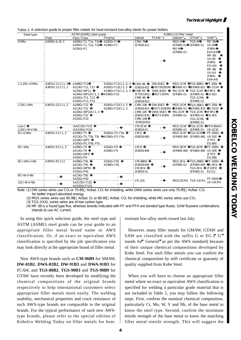| Table 2 A selection guide to proper filler metals for heat-resistant low-alloy steels for power boilers |  |
|---------------------------------------------------------------------------------------------------------|--|
|---------------------------------------------------------------------------------------------------------|--|

| Steel type                | <b>KOBELCO filler metal</b><br>ASTM (ASME) steel grade |                                                                                                          |                                                                                 |                                                                          |                                                                                          |                                                     |                                                                                                  |                                                                                                                                       |
|---------------------------|--------------------------------------------------------|----------------------------------------------------------------------------------------------------------|---------------------------------------------------------------------------------|--------------------------------------------------------------------------|------------------------------------------------------------------------------------------|-----------------------------------------------------|--------------------------------------------------------------------------------------------------|---------------------------------------------------------------------------------------------------------------------------------------|
|                           | Plate                                                  | Pipe / Tube                                                                                              | Forging                                                                         | SMAW                                                                     | FCAW <sup>(1)</sup>                                                                      | GMAW <sup>(2)</sup>                                 | GTAW <sup>(3)</sup>                                                                              | SAW <sup>(4)</sup>                                                                                                                    |
| 0.5M <sub>0</sub>         | A204Gr.A, B, C                                         | A209Gr.T1, T1a, T1b<br>A205Gr.T1, T1a, T1b<br>A335Gr.P1                                                  | A182Gr.F1<br>A336Gr.F1                                                          | <b>CMA-76</b><br>(E7016-A1)                                              |                                                                                          | MGS-M<br>$(ER 80S - G)$<br>MG-M<br>$(ER 8OS - G)$   | TGS-M<br>$(ER 80S - G)$                                                                          | MF-38/<br><b>US-40</b><br>(F8P6-<br>EA3-A3)<br>NF-38/<br><b>US-49</b><br>(F8P6-<br>$EG-A4$<br>MF-38/<br>$US-A4$<br>(F8P6-<br>$EAA-AA$ |
| 1-1.25Cr-0.5Mo            | A387Gr.11 Cl.1, 2<br>A387Gr.12 Cl.1, 2                 | A199Gr.T11<br>A213Gr.T11, T12<br>A234Gr.WP11<br>A234Gr.WP12Cl.1, 2<br>A250Gr.T11, T12<br>A335Gr.P11, P12 | A182Gr.F11Cl.1, 2, 3<br>A182Gr.F12Cl.1, 2<br>A336Gr.F11Cl.1, 2, 3<br>A336Gr.F12 | CMA-96<br>$( E 8016-B2)$<br><b>CMB-95</b><br><b>CMB-98</b><br>(E8018-B2) | <b>DW-81B2</b><br>(E81T1B2/B2M)<br><b>DWA-81B2</b><br>(E7015-B2L) (E81T1-B2M)            | MGS-1CM<br>$(ER 8OS - G)$<br>MG-1CM<br>$(ER 80S-G)$ | <b>TGS-80B2</b><br>(ER80S-B2) US-511N<br>TGS-1CM<br>$(ER 80S - G)$<br>TGS-1CML<br>$(ER 8OS - G)$ | PF-200/<br>(F8P2-<br>$EG-B2$                                                                                                          |
| 2.25Cr-1Mo                | A387Gr.22 Cl.1, 2                                      | A199Gr.T22<br>A213Gr.T22<br>A234Gr.WP22Cl.1, 3<br>A250Gr.T22<br>A335Gr.P22                               | A182Gr.F22Cl.1, 3<br>A336Gr.F22Cl.1, 3                                          | <b>CMA-106</b><br>(E9016-B3)<br>CMB-105<br><b>CMB-108</b><br>(E9018-B3)  | <b>DW-91B3</b><br>(E91T1-B3/B3M) (ER90S-G)<br><b>DWA-91B3</b><br>(E8015-B3L) (E91T1-B3M) | MGS-2CM<br>MG-2CM<br>$(ER 90S-G)$                   | TGS-90B3 PF-200/<br>(ER90S-B3) US-521S<br>TGS-2CM<br>$(ER 90S-G)$<br>TGS-2CML<br>$(ER 8OS - G)$  | (F9P2-<br>$EG-B3$                                                                                                                     |
| LowC<br>2.25Cr-W-V-Nb     |                                                        | (SA213Gr.T23)<br>(SA335Gr.P23)                                                                           |                                                                                 | CM-2CW<br>$(E9016-G)$                                                    |                                                                                          | MGS-2CW<br>$(ER 90S-G)$                             | TGS-2CW<br>$(ER 90S-G)$                                                                          | PFH-80AK/<br>US-2CW                                                                                                                   |
| 5Cr-0.5Mo                 | A387Gr.5Cl.1, 2                                        | A199Gr.T5<br>A213Gr.T5, T5b, T5c<br>A234Gr.WP5<br>A335Gr.P5, P5b, P5c                                    | A182Gr.F5, F5a<br>A336Gr.F5, F5a                                                | CM <sub>5</sub><br>(E8016-B6)                                            |                                                                                          | MGS-5CM TGS-5CM                                     | (ER80S-B6) (ER80S-B6) US-502                                                                     | PF-200S/<br>(F7P2-<br>$EG-B6$                                                                                                         |
| 9Cr-1Mo                   | A387Gr.9Cl.1, 2                                        | A199Gr.T9<br>A213Gr.T9<br>A234Gr.WP9<br>A335Gr.P9                                                        | A182Gr.F9<br>A336Gr.F9                                                          | CM-9<br>(E8016-B8)                                                       |                                                                                          | MGS-9CM TGS-9CM                                     | (ER80S-B8) (ER80S-B8) US-505                                                                     | PF-200S/<br>(F7PZ-<br>$EG-B8$                                                                                                         |
| 9Cr-1Mo-V-Nb              | A387Gr.91 Cl.2                                         | A199Gr.T91<br>A213Gr.T91<br>A234Gr.WP91<br>A335Gr.P91                                                    | A182Gr.F91<br>A336Gr.F91                                                        | CM-96B9<br>$( E 9016-B9)$<br>CM-9Cb<br>$(E9016-G)$                       |                                                                                          | MGS-9Cb<br>$(ER 90S-G)$                             | <b>TGS-90B9</b><br>(ER90S-B9) US-9Cb<br>TGS-9Cb<br>$(ER9OS-G) EG-G)$                             | PF-200S/<br>(F10PZ-                                                                                                                   |
| 9Cr-W-V-Nb<br>12Cr-W-V-Nb |                                                        | A213Gr.T92<br>A335Gr.P92<br>SA213Gr.T122<br>SA335Gr.P122                                                 |                                                                                 | CR-12S                                                                   |                                                                                          |                                                     | MGS12CRS TGS-12CRS                                                                               | PF-200S/<br><b>US-12CRS</b>                                                                                                           |

Note (1) DW series wires use  $CO<sub>2</sub>$  or 75-85 Ar/bal.  $CO<sub>2</sub>$  for shielding, while DWA series wires use only 75-85 Ar/bal.  $CO<sub>2</sub>$ for better impact absorbed energy.

(2) MGS series wires use 95-98 Ar/bal. O<sub>2</sub> or 80-95 Ar/bal. CO<sub>2</sub> for shielding, while MG series wires use CO<sub>2</sub>.

(3) TGS-XXXL series wires are of low carbon type.

(4) MF-38 is a fused type flux, whereas brands indicated with PF and PFH are bonded type fluxes. SAW flux/wire combinations intends to use AC current.

In using this quick selection guide, the steel type and ASTM (ASME) steel grade can be your guide to an appropriate filler metal brand name or AWS classification. Or, if an exact or equivalent AWS classification is specified by the job specification you may look directly at the appropriate brand of filler metal.

New AWS-type brands such as **CM-96B9** for SMAW, **DW-81B2**, **DWA-81B2**, **DW-91B3** and **DWA-91B3** for FCAW, and **TGS-80B2**, **TGS-90B3** and **TGS-90B9** for GTAW have recently been developed by modifying the chemical compositions of the original brands respectively to help international customers select appropriate filler metals more easily. The welding usability, mechanical properties and crack resistance of such AWS-type brands are comparable to the original brands. For the typical performance of such new AWStype brands, please refer to the special edition of Kobelco Welding Today on filler metals for heatresistant low-alloy steels issued last July.

However, many filler metals for GMAW, GTAW and SAW are classified with the suffix G or EG (**"**G**"** stands for**"**General**"**as per the AWS standard) because of their unique chemical compositions developed by Kobe Steel. For such filler metals you can confirm the chemical composition by mill certificate or guaranty of quality supplied from Kobe Steel.

When you will have to choose an appropriate filler metal where no exact or equivalent AWS classification is specified for welding a particular grade material that is not included in Table 2, you may follow the following steps. First, confirm the nominal chemical composition, particularly Cr, Mo, W, V and Nb, of the base metal to know the steel type. Second, confirm the minimum tensile strength of the base metal to know the matching filler metal tensile strength. This will suggest the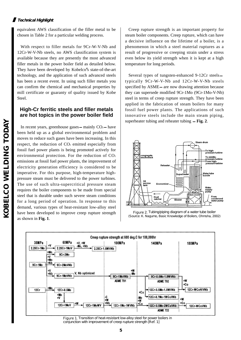equivalent AWS classification of the filler metal to be chosen in Table 2 for a particular welding process.

With respect to filler metals for 9Cr-W-V-Nb and 12Cr-W-V-Nb steels, no AWS classification system is available because they are presently the most advanced filler metals in the power boiler field as detailed below. They have been developed by Kobelco**'**s state-of-the-art technology, and the application of such advanced steels has been a recent event. In using such filler metals you can confirm the chemical and mechanical properties by mill certificate or guaranty of quality issued by Kobe Steel.

### **High-Cr ferritic steels and filler metals are hot topics in the power boiler field**

In recent years, greenhouse gases mainly  $CO<sub>2</sub>$  have been held up as a global environmental problem and moves to reduce such gases have been increasing. In this respect, the reduction of  $CO<sub>2</sub>$  emitted especially from fossil fuel power plants is being promoted actively for environmental protection. For the reduction of  $CO<sub>2</sub>$ emissions at fossil fuel power plants, the improvement of electricity generation efficiency is considered to be imperative. For this purpose, high-temperature highpressure steam must be delivered to the power turbines. The use of such ultra-supercritical pressure steam requires the boiler components to be made from special steel that is durable under such severe steam conditions for a long period of operation. In response to this demand, various types of heat-resistant low-alloy steel have been developed to improve creep rupture strength as shown in **Fig. 1**.

Creep rupture strength is an important property for steam boiler components. Creep rupture, which can have a decisive influence on the lifetime of a boiler, is a phenomenon in which a steel material ruptures as a result of progressive or creeping strain under a stress even below its yield strength when it is kept at a high temperature for long periods.

Several types of tungsten-enhanced 9-12Cr steels typically 9Cr-W-V-Nb and 12Cr-W-V-Nb steels specified by ASME are now drawing attention because they can supersede modified 9Cr-1Mo (9Cr-1Mo-V-Nb) steel in terms of creep rupture strength. They have been applied in the fabrication of steam boilers for many fossil fuel power plants. The applications of such innovative steels include the main steam piping, superheater tubing and reheater tubing **Fig. 2**.



Figure 2. Tubing/piping diagram of a water tube boiler (Source: K. Nagumo, Basic Knowledge of Boilers, Ohmsha, 2002)



Figure 1. Transition of heat-resistant low-alloy steel for power boilers in conjunction with improvement of creep rupture strength [Ref. 1]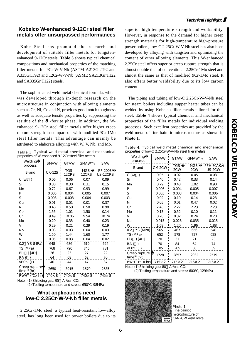# **Kobelco W-enhanced 9-12Cr steel filler metals offer unsurpassed performances**

Kobe Steel has promoted the research and development of suitable filler metals for tungstenenhanced 9-12Cr steels. **Table 3** shows typical chemical compositions and mechanical properties of the matching filler metals for 9Cr-W-V-Nb (ASTM A213Gr.T92 and A335Gr.T92) and 12Cr-W-V-Nb (ASME SA213Gr.T122 and SA335Gr.T122) steels.

The sophisticated weld metal chemical formula, which was developed through in-depth research on the microstructure in conjunction with alloying elements such as Cr, Ni, Co and N, provides good notch toughness as well as adequate tensile properties by suppressing the residue of the -ferrite phase. In addition, the Wenhanced 9-12Cr steel filler metals offer higher creep rupture strength in comparison with modified 9Cr-1Mo steel filler metals. This advantage can mainly be attributed to elaborate alloying with W, V, Nb, and Mo.

Table 3. Typical weld metal chemical and mechanical properties of W-enhanced 9-12Cr steel filler metals

| Welding<br>process                        | <b>SMAW</b>   | <b>GTAW</b>    | GMAW <sup>(1)</sup> | SAW                  |
|-------------------------------------------|---------------|----------------|---------------------|----------------------|
| <b>Brand</b>                              | <b>CR-12S</b> | TGS-<br>12CRS  | MGS-<br>12CRS       | PF-200S/<br>US-12CRS |
| C (wt<br>$\rightarrow$                    | 0.06          | 0.06           | 0.07                | 0.09                 |
| Si                                        | 0.38          | 0.30           | 0.31                | 0.15                 |
| Mn                                        | 0.72          | 0.67           | 0.93                | 0.99                 |
| P                                         | 0.005         | 0.004          | 0.005               | 0.007                |
| S                                         | 0.003         | 0.003          | 0.004               | 0.003                |
| Cu                                        | 0.01          | 0.01           | 0.01                | 0.37                 |
| Νi                                        | 0.48          | 0.50           | 0.50                | 0.98                 |
| Co                                        | 1.56          | 1.01           | 1.50                | 0.14                 |
| Cr                                        | 9.49          | 10.06          | 9.54                | 10.74                |
| Mb                                        | 0.20          | 0.35           | 0.40                | 0.23                 |
| v                                         | 0.29          | 0.21           | 0.29                | 0.19                 |
| Nb                                        | 0.03          | 0.03           | 0.04                | 0.03                 |
| w                                         | 1.50          | 1.44           | 1.60                | 1.77                 |
| N                                         | 0.05          | 0.03           | 0.04                | 0.02                 |
| 0.2 YS (MPa)                              | 648           | 686            | 619                 | 624                  |
| TS (MPa)                                  | 768           | 790            | 745                 | 781                  |
| EI( ) [4D]                                | 26            | 23             | 27                  | 22                   |
| RA()                                      | 64            | 68             | 62                  | 70                   |
| vEO (J)                                   | 40            | 44             | 47                  | 37                   |
| Creep rupture<br>time <sup>(2)</sup> (hr) | 2650          | 3915           | 1670                | 2635                 |
| PWHT (<br>$\times$ hr)                    | 740×8         | $740 \times 8$ | $740 \times 8$      | $745 \times 8$       |

Note (1) Shielding gas: 95 Ar/bal. CO<sub>2</sub>

(2) Testing temperature and stress: 650℃, 98MPa

## **What applications need low-C 2.25Cr-W-V-Nb filler metals**

2.25Cr-1Mo steel, a typical heat-resistant low-alloy steel, has long been used for power boilers due to its

superior high temperature strength and workability. However, in response to the demand for higher creep strength materials for high-temperature high-pressure power boilers, low-C 2.25Cr-W-V-Nb steel has also been developed by alloying with tungsten and optimizing the content of other alloying elements. This W-enhanced 2.25Cr steel offers superior creep rupture strength that is almost double that of conventional 2.25Cr-1Mo steel and almost the same as that of modified 9Cr-1Mo steel. It also offers better weldability due to its low carbon content.

The piping and tubing of low-C 2.25Cr-W-V-Nb steel for steam boilers including supper heater tubes can be welded by using Kobelco filler metals tailored for this steel. **Table 4** shows typical chemical and mechanical properties of the filler metals for individual welding processes. Such excellent properties are provided by the weld metal of fine bainitic microstructure as shown in **Photo 1**.

Table 4. Typical weld metal chemical and mechanical properties of low-C 2.25Cr-W-V-Nb steel filler metals

| Welding<br>process                        | <b>SMAW</b> | <b>GTAW</b>   | GMAW <sup>(1)</sup> | <b>SAW</b>          |
|-------------------------------------------|-------------|---------------|---------------------|---------------------|
| <b>Brand</b>                              | CM-2CW      | TGS-<br>2CW   | MGS-<br>2CW         | PFH-80AK/<br>US-2CW |
| C(wt)                                     | 0.05        | 0.02          | 0.05                | 0.03                |
| Si                                        | 0.40        | 0.42          | 0.33                | 0.14                |
| Mn                                        | 0.79        | 0.48          | 1.02                | 0.90                |
| P                                         | 0.006       | 0.004         | 0.005               | 0.007               |
| S                                         | 0.003       | 0.003         | 0.004               | 0.006               |
| Cu                                        | 0.02        | 0.10          | 0.14                | 0.23                |
| Ni                                        | 0.03        | 0.01          | 0.47                | 0.02                |
| cr                                        | 2.43        | 2.27          | 2.23                | 2.23                |
| Mb                                        | 0.13        | 0.52          | 0.10                | 0.11                |
| v                                         | 0.20        | 0.32          | 0.24                | 0.20                |
| Nb                                        | 0.015       | 0.026         | 0.035               | 0.015               |
| w                                         | 1.69        | 1.20          | 1.96                | 1.88                |
| 0.2 YS (MPa)                              | 565         | 467           | 656                 | 548                 |
| TS (MPa)                                  | 652         | 578           | 727                 | 628                 |
| EI( )[4D]                                 | 20          | 31            | 21                  | 23                  |
| RA()                                      | 70          | 84            | 64                  | 74                  |
| vEO (J)                                   | 105         | 205           | 38                  | 39                  |
| Creep rupture<br>time <sup>(2)</sup> (hr) | 1728        | 2857          | 2032                | 2579                |
| PWHT (<br>$\times$ hr)                    | 715×2       | $715\times 2$ | $715 \times 2$      | $715\times 2$       |

Note (1) Shielding gas: 80 Ar/bal. CO<sub>2</sub>

(2) Testing temperature and stress: 600℃, 129MPa



Photo 1. Fine bainitic microstructure of CM-2CW weld metal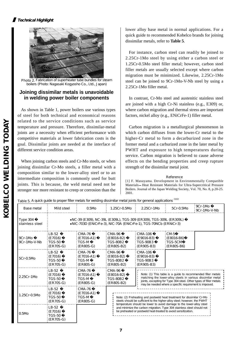

Photo 2. Fabrication of superheater tube bundles for steam boilers (Photo: Nagasaki Kogyosho Co., Ltd., Japan)

### **Joining dissimilar metals is unavoidable in welding power boiler components**

As shown in Table 1, power boilers use various types of steel for both technical and economical reasons related to the service conditions such as service temperature and pressure. Therefore, dissimilar-metal joints are a necessity when efficient performance with competitive materials at lower fabrication costs is the goal. Dissimilar joints are needed at the interface of different service condition areas.

When joining carbon steels and Cr-Mo steels, or when joining dissimilar Cr-Mo steels, a filler metal with a composition similar to the lower-alloy steel or to an intermediate composition is commonly used for butt joints. This is because, the weld metal need not be stronger nor more resistant to creep or corrosion than the lower alloy base metal in normal applications. For a quick guide to recommended Kobelco brands for joining dissimilar metals, refer to **Table 5**.

For instance, carbon steel can readily be joined to 2.25Cr-1Mo steel by using either a carbon steel or 1.25Cr-0.5Mo steel filler metal; however, carbon steel filler metals are usually selected except where carbon migration must be minimized. Likewise, 2.25Cr-1Mo steel can be joined to 9Cr-1Mo-V-Nb steel by using a 2.25Cr-1Mo filler metal.

In contrast, Cr-Mo steel and austenitic stainless steel are joined with a high Cr-Ni stainless (e.g., E309) or, where carbon migration and thermal stress are important factors, nickel alloy (e.g., ENiCrFe-1) filler metal.

Carbon migration is a metallurgical phenomenon in which carbon diffuses from the lower-Cr metal to the higher-Cr metal to form a decarburized zone in the former metal and a carburized zone in the later metal by PWHT and exposure to high temperatures during service. Carbon migration is believed to cause adverse effects on the bending properties and creep rupture strength of the dissimilar metal joint.

#### Reference

[1] F. Masuyama. Development in Environmentally Compatible Materials Heat Resistant Materials for Ultra-Supercritical Pressure Boilers. Journal of the Japan Welding Society, Vol. 70, No. 8, p.20-25. 2001.

Table 5. A quick guide to proper filler metals for welding dissimilar metal joints for general applications (1)(2)

| <b>Base metal</b>           | Mild steel                                                                                                                                 | 0.5M <sub>D</sub>                                            | 1.25Cr-0.5Mp                                                                                                                                                                                                    | 2.25Cr-1Mb                                                                                                                                        | 5Cr-0.5Mb                                                                                                                                                                                                                                                   | 9Cr-1M <sub>D</sub><br>9Cr-1Mb-V-Nb |  |  |  |
|-----------------------------|--------------------------------------------------------------------------------------------------------------------------------------------|--------------------------------------------------------------|-----------------------------------------------------------------------------------------------------------------------------------------------------------------------------------------------------------------|---------------------------------------------------------------------------------------------------------------------------------------------------|-------------------------------------------------------------------------------------------------------------------------------------------------------------------------------------------------------------------------------------------------------------|-------------------------------------|--|--|--|
| Type 304<br>stainless steel | NC-39 (E 309), NC-39L (E 309L), TGS-309 (E R 309), TGS-309L (E R 309L)<br>NIC-703D (ENIC Fe-3), NIC-70A (ENIC Fe-1), TGS-70NCb (ERNIC r-3) |                                                              |                                                                                                                                                                                                                 |                                                                                                                                                   |                                                                                                                                                                                                                                                             |                                     |  |  |  |
| 9Cr-1Mb<br>9Cr-1Mb-V-Nb     | LB-52<br>$E$ (E 7016)<br>: TGS-50<br>$E(R70S-G)$                                                                                           | <b>CMA-76</b><br>(E7016-A1)<br>: TGS-M<br>$ECR$ 80S-G)       | CMA-96<br>$(E8016-B2)$<br>TGS-80B2<br>$E(R)$ (ER 80S-B2)                                                                                                                                                        | CMA-106<br>$( E 9016-B3)$<br>$TGS-90B3$<br>$(ER 90S - B3)$                                                                                        | CM-5<br>(E8016-B6)<br>TGS-5CM<br>$(ER 80S-B6)$                                                                                                                                                                                                              |                                     |  |  |  |
| 5Cr-Q5Mb                    | $LB-52$<br>(E 7016)<br>TGS-50<br>$(ER70S-G)$                                                                                               | <b>CMA-76</b><br>(E 7016-A1)<br>TGS-M<br>$(ER 8OS - G)$      | CMA-96<br>(E 8016-B2)<br>TGS-80B2<br>$(ER 80S - B2)$                                                                                                                                                            | <b>CMA-106</b><br>(E9016-B3)<br><b>TGS-90B3</b><br>$(ER 90S - B3)$                                                                                |                                                                                                                                                                                                                                                             |                                     |  |  |  |
| 2.25Cr-1Mb                  | $LB-52$<br>(E 7016)<br><b>TGS-50</b><br>$(ER70S-G)$                                                                                        | <b>CMA-76</b><br>(E 7016-A1)<br><b>TGS-M</b><br>$(ER 80S-G)$ | <b>CMA-96</b><br>(E 8016-B2)<br><b>TGS-80B2</b><br>$(ER 80S-B2)$                                                                                                                                                |                                                                                                                                                   | Note: (1) This table is a guide to recommended filler metals<br>matching the lower-alloy steels in various dissimilar metal<br>joints, excepting for Type 304 steel. Other types of filler metals<br>may be needed where a specific requirement is imposed. |                                     |  |  |  |
| $1.25Cr - Q5Nb$             | LB-52<br>(E 7016)<br>TGS-50<br>$(ER7OS-G)$                                                                                                 | <b>CMA-76</b><br>(E 7016-A1)<br>: TGS-M<br>$(ER 80S-G)$      |                                                                                                                                                                                                                 | Note: (2) Preheating and postweld heat treatment for dissimilar Cr-Mo<br>steels should be sufficient to the higher-alloy steel; however, the PWHT |                                                                                                                                                                                                                                                             |                                     |  |  |  |
| 0.5M <sub>D</sub>           | LB-52<br>(E 7016)<br><b>TGS-50</b><br>$(ER7OS-G)$                                                                                          |                                                              | temperature should be lower to avoid damage to the lower-alloy steel<br>and minimize the carbon migration. Type 304 stainless steel should not<br>be preheated or postweld heat-treated to avoid sensitization. |                                                                                                                                                   |                                                                                                                                                                                                                                                             |                                     |  |  |  |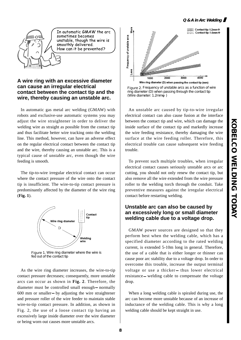#### **Q & A in Arc Welding**



In automatic GMAW the arc sometimes becomes unstable, though the wire is smoothly delivered. How can it be prevented?

## **A wire ring with an excessive diameter can cause an irregular electrical contact between the contact tip and the wire, thereby causing an unstable arc.**

In automatic gas metal arc welding (GMAW) with robots and exclusive-use automatic systems you may adjust the wire straightener in order to deliver the welding wire as straight as possible from the contact tip and thus facilitate better wire tracking onto the welding line. This method, however, can have an adverse effect on the regular electrical contact between the contact tip and the wire, thereby causing an unstable arc. This is a typical cause of unstable arc, even though the wire feeding is smooth.

The tip-to-wire irregular electrical contact can occur where the contact pressure of the wire onto the contact tip is insufficient. The wire-to-tip contact pressure is predominantly affected by the diameter of the wire ring (**Fig. 1**).



Figure 1. Wire ring diameter where the wire is fed out of the contact tip

As the wire ring diameter increases, the wire-to-tip contact pressure decreases; consequently, more unstable arcs can occur as shown in **Fig. 2**. Therefore, the diameter must be controlled small enough normally 600 mm or smaller by adjusting the wire straightener and pressure roller of the wire feeder to maintain stable wire-to-tip contact pressure. In addition, as shown in Fig. 2, the use of a loose contact tip having an excessively large inside diameter over the wire diameter or being worn out causes more unstable arcs.



Figure 2. Frequency of unstable arcs as a function of wire ring diameter (D) when passing through the contact tip (Wire diameter:  $1.2$ mm)

An unstable arc caused by tip-to-wire irregular electrical contact can also cause fusion at the interface between the contact tip and wire, which can damage the inside surface of the contact tip and markedly increase the wire feeding resistance, thereby damaging the wire surface at the wire feeding roller. Therefore, this electrical trouble can cause subsequent wire feeding trouble.

To prevent such multiple troubles, when irregular electrical contact causes seriously unstable arcs or arc cutting, you should not only renew the contact tip, but also remove all the wire extended from the wire pressure roller to the welding torch through the conduit. Take preventive measures against the irregular electrical contact before restarting welding.

# **Unstable arc can also be caused by an excessively long or small diameter welding cable due to a voltage drop.**

GMAW power sources are designed so that they perform best when the welding cable, which has a specified diameter according to the rated welding current, is extended 5-10m long in general. Therefore, the use of a cable that is either longer or thinner can cause poor arc stability due to a voltage drop. In order to overcome this trouble, increase the output terminal voltage or use a thicker thus lower electrical resistance welding cable to compensate the voltage drop.

When a long welding cable is spiraled during use, the arc can become more unstable because of an increase of inductance of the welding cable. This is why a long welding cable should be kept straight in use.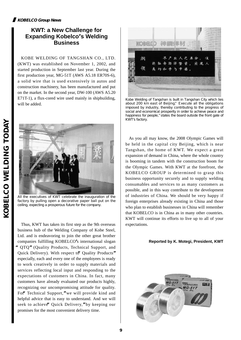# **KOBELCO Group News**

# **KWT: a New Challenge for Expanding Kobelco's Welding Business**

KOBE WELDING OF TANGSHAN CO., LTD. (KWT) was established on November 1, 2002, and started production in September last year. During the first production year, MG-51T (AWS A5.18 ER70S-6), a solid wire that is used extensively in autos and construction machinery, has been manufactured and put on the market. In the second year, DW-100 (AWS A5.20 E71T-1), a flux-cored wire used mainly in shipbuilding, will be added.



All the executives of KWT celebrate the inauguration of the factory by pulling open a decorative paper ball put on the ceiling, expecting a prosperous future for the company.

Thus, KWT has taken its first step as the 9th overseas business hub of the Welding Company of Kobe Steel, Ltd. and is endeavoring to join the other great brother companies fulfilling KOBELCO**'**s international slogan **"**QTQ**"**(Quality Products, Technical Support, and Quick Delivery). With respect to**"**Quality Products**"** especially, each and every one of the employees is ready to work creatively in order to supply materials and services reflecting local input and responding to the expectations of customers in China. In fact, many customers have already evaluated our products highly, recognizing our uncompromising attitude for quality. For<sup>#</sup> Technical Support," we will provide kind and helpful advice that is easy to understand. And we will seek to achieve**"**Quick Delivery,**"**by keeping our promises for the most convenient delivery time.



Kobe Welding of Tangshan is built in Tangshan City which lies about 200 km east of Beijing."Execute all the obligations imposed by industry, thereby contributing to the progress of social and economical prosperity in order to achieve peace and happiness for people," states the board outside the front gate of KWT's factory.

As you all may know, the 2008 Olympic Games will be held in the capital city Beijing, which is near Tangshan, the home of KWT. We expect a great expansion of demand in China, where the whole country is booming in tandem with the construction boom for the Olympic Games. With KWT at the forefront, the KOBELCO GROUP is determined to grasp this business opportunity securely and to supply welding consumables and services to as many customers as possible, and in this way contribute to the development of industries of China. We should be very happy if foreign enterprises already existing in China and those who plan to establish businesses in China will remember that KOBELCO is in China as in many other countries. KWT will continue its efforts to live up to all of your expectations.

#### **Reported by K. Motegi, President, KWT**

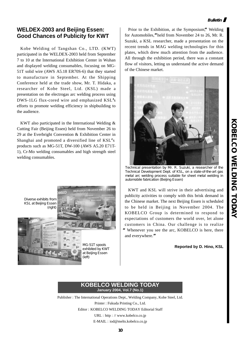#### **Bulletin**

# **WELDEX-2003 and Beijing Essen: Good Chances of Publicity for KWT**

Kobe Welding of Tangshan Co., LTD. (KWT) participated in the WELDEX-2003 held from September 7 to 10 at the International Exhibition Center in Wuhan and displayed welding consumables, focusing on MG-51T solid wire (AWS A5.18 ER70S-6) that they started to manufacture in September. At the Shipping Conference held at the trade show, Mr. T. Hidaka, a researcher of Kobe Steel, Ltd. (KSL) made a presentation on the electrogas arc welding process using DWS-1LG flux-cored wire and emphasized KSL**'**s efforts to promote welding efficiency in shipbuilding to the audience.

KWT also participated in the International Welding & Cutting Fair (Beijing Essen) held from November 26 to 29 at the Everbright Convention & Exhibition Center in Shanghai and promoted a diversified line of KSL**'**s products such as MG-51T, DW-100 (AWS A5.20 E71T-1), Cr-Mo welding consumables and high strength steel welding consumables.



Prior to the Exhibition, at the Symposium,<sup>4</sup> Welding for Automobiles,**"**held from November 24 to 26, Mr. R. Suzuki, a KSL researcher, made a presentation on the recent trends in MAG welding technologies for thin plates, which drew much attention from the audience. All through the exhibition period, there was a constant flow of visitors, letting us understand the active demand of the Chinese market.



Technical presentation by Mr. R. Suzuki, a researcher of the Technical Development Dept. of KSL, on a state-of-the-art gas metal arc welding process suitable for sheet metal welding in automobile fabrication (Beijing Essen)

KWT and KSL will strive in their advertising and publicity activities to comply with this brisk demand in the Chinese market. The next Beijing Essen is scheduled to be held in Beijing in November 2004. The KOBELCO Group is determined to respond to expectations of customers the world over, let alone customers in China. Our challenge is to realize Whenever you see the arc, KOBELCO is here, there and everywhere.**"**

**Reported by D. Hino, KSL**



Publisher : The International Operations Dept., Welding Company, Kobe Steel, Ltd. Printer : Fukuda Printing Co., Ltd. Editor : KOBELCO WELDING TODAY Editorial Staff URL : http : // www.kobelco.co.jp E-MAIL : iod@melts.kobelco.co.jp